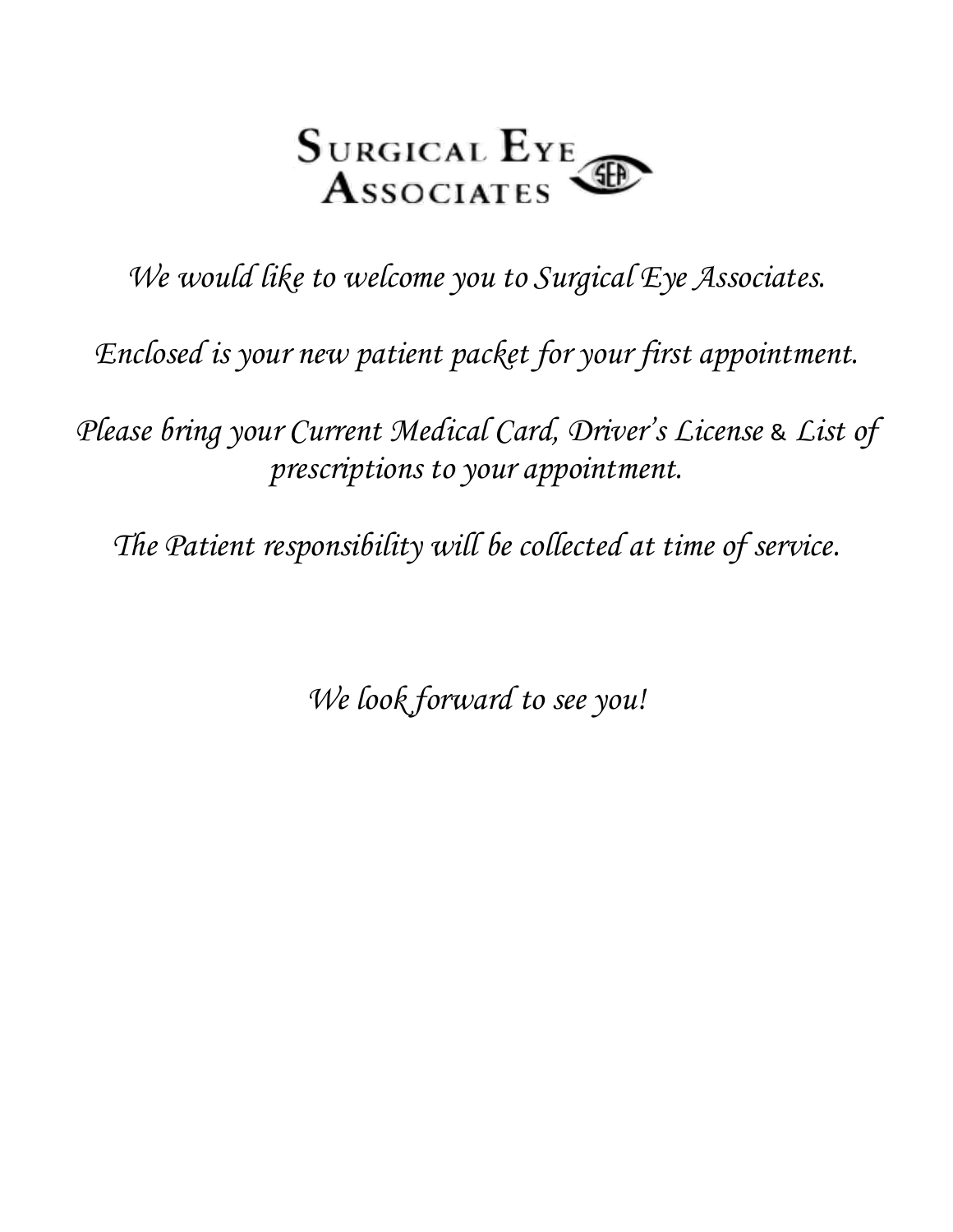

*We would like to welcome you to Surgical Eye Associates.*

*Enclosed is your new patient packet for your first appointment.*

*Please bring your Current Medical Card, Driver's License* & *List of prescriptions to your appointment.*

*The Patient responsibility will be collected at time of service.*

*We look forward to see you!*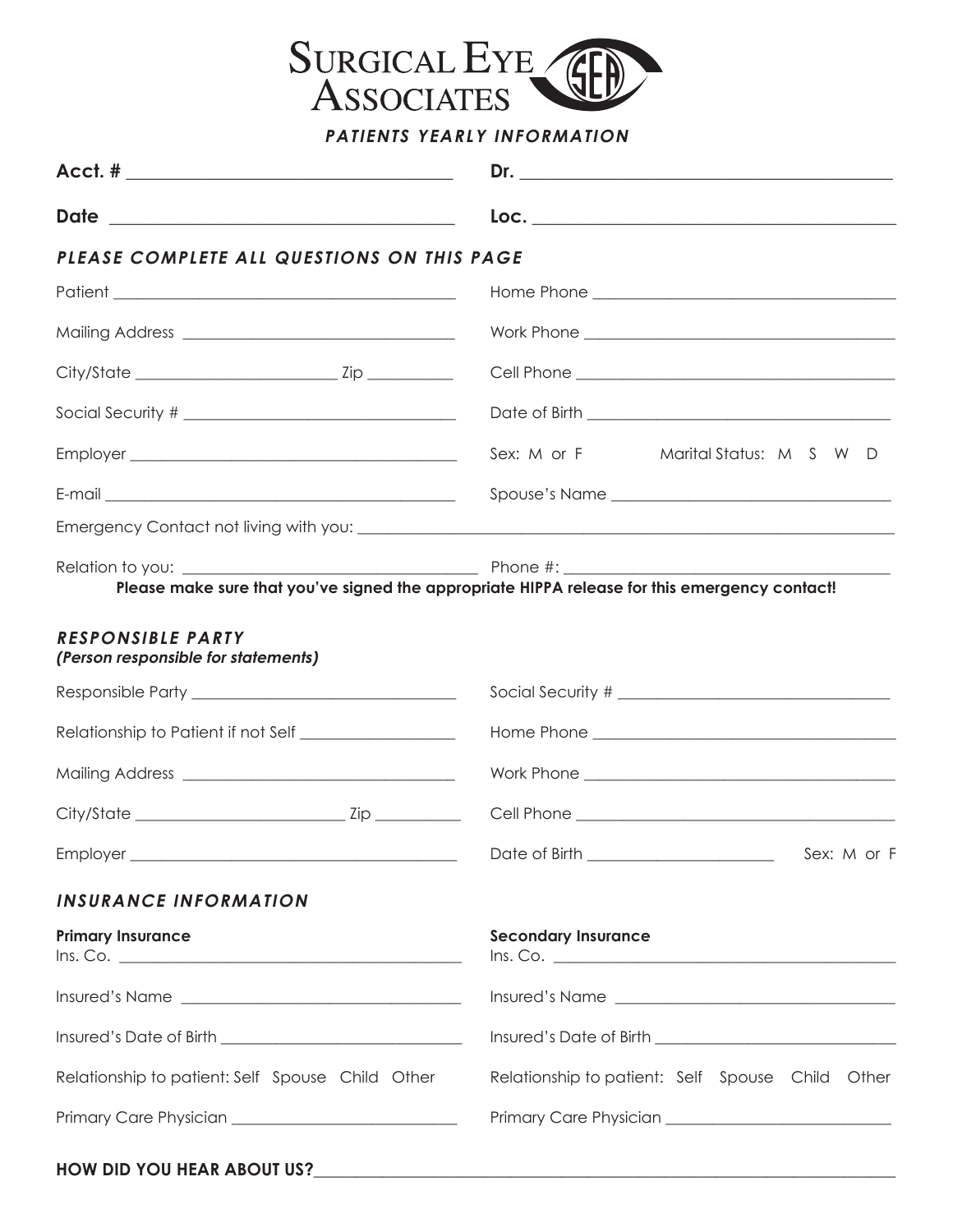

**PATIENTS YEARLY INFORMATION**

| Date<br><u> 1989 - Johann Barn, fransk politik formuler (d. 1989)</u> |                                                                                                                                                                                                                                     |  |  |
|-----------------------------------------------------------------------|-------------------------------------------------------------------------------------------------------------------------------------------------------------------------------------------------------------------------------------|--|--|
| PLEASE COMPLETE ALL QUESTIONS ON THIS PAGE                            |                                                                                                                                                                                                                                     |  |  |
|                                                                       |                                                                                                                                                                                                                                     |  |  |
|                                                                       |                                                                                                                                                                                                                                     |  |  |
|                                                                       |                                                                                                                                                                                                                                     |  |  |
|                                                                       |                                                                                                                                                                                                                                     |  |  |
|                                                                       | Sex: M or F<br>Marital Status: M S W D                                                                                                                                                                                              |  |  |
|                                                                       |                                                                                                                                                                                                                                     |  |  |
|                                                                       |                                                                                                                                                                                                                                     |  |  |
|                                                                       | Please make sure that you've signed the appropriate HIPPA release for this emergency contact!                                                                                                                                       |  |  |
| <b>RESPONSIBLE PARTY</b><br>(Person responsible for statements)       |                                                                                                                                                                                                                                     |  |  |
|                                                                       |                                                                                                                                                                                                                                     |  |  |
| Relationship to Patient if not Self ____________________              |                                                                                                                                                                                                                                     |  |  |
|                                                                       |                                                                                                                                                                                                                                     |  |  |
|                                                                       |                                                                                                                                                                                                                                     |  |  |
| Employer ________                                                     |                                                                                                                                                                                                                                     |  |  |
| <b>INSURANCE INFORMATION</b>                                          |                                                                                                                                                                                                                                     |  |  |
| <b>Primary Insurance</b>                                              | <b>Secondary Insurance</b>                                                                                                                                                                                                          |  |  |
|                                                                       | Insured's Name                                                                                                                                                                                                                      |  |  |
|                                                                       | Insured's Date of Birth <b>contained</b> and the United States of Birth and the United States and the United States and States and States and States and States and States and States and States and States and States and States a |  |  |
| Relationship to patient: Self Spouse Child Other                      | Relationship to patient: Self Spouse Child Other                                                                                                                                                                                    |  |  |
|                                                                       |                                                                                                                                                                                                                                     |  |  |
|                                                                       |                                                                                                                                                                                                                                     |  |  |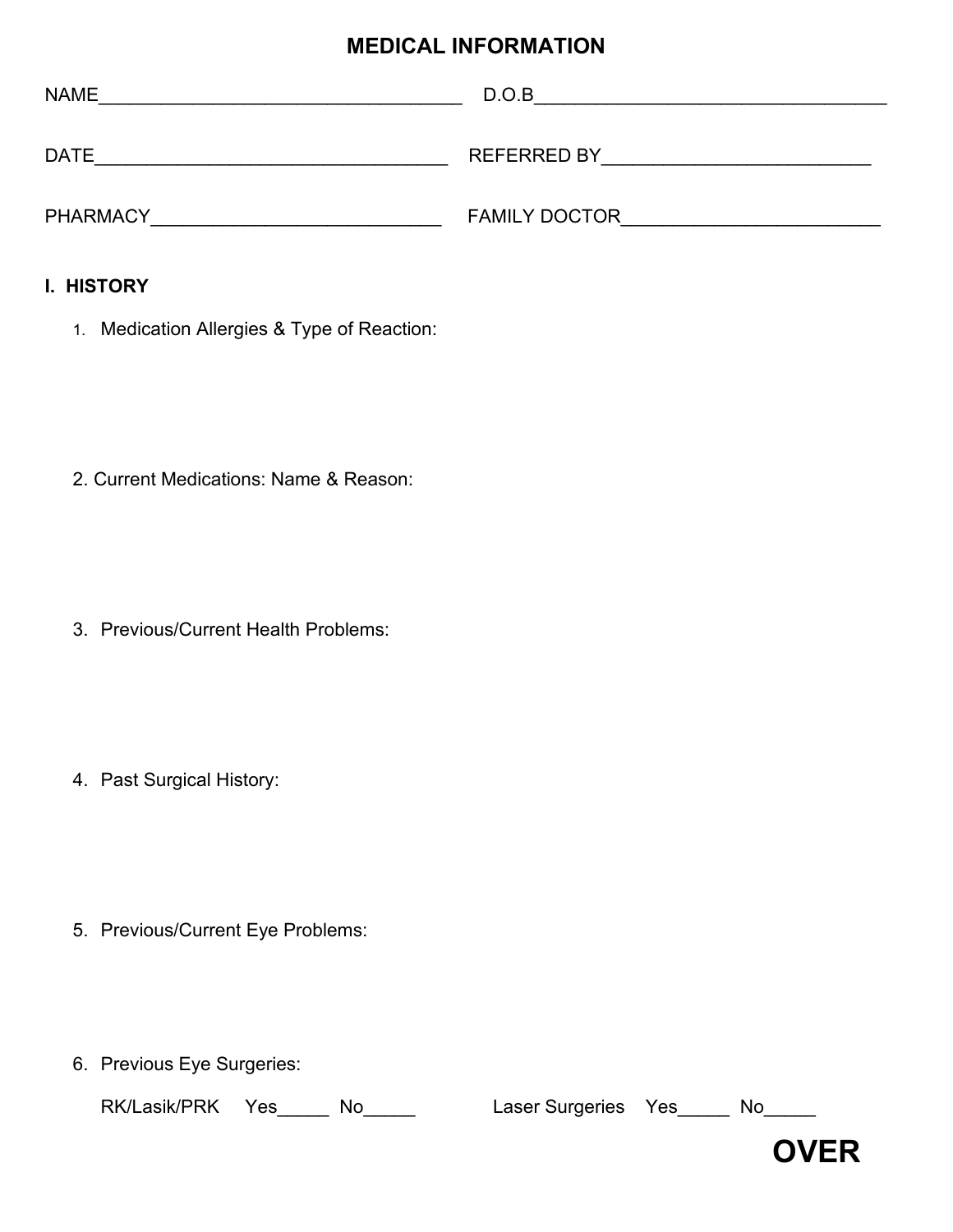### **MEDICAL INFORMATION**

| <b>NAME</b>     | D.O.B                |
|-----------------|----------------------|
| <b>DATE</b>     | <b>REFERRED BY</b>   |
| <b>PHARMACY</b> | <b>FAMILY DOCTOR</b> |

#### **I. HISTORY**

1. Medication Allergies & Type of Reaction:

2. Current Medications: Name & Reason:

3. Previous/Current Health Problems:

4. Past Surgical History:

- 5. Previous/Current Eye Problems:
- 6. Previous Eye Surgeries:

RK/Lasik/PRK Yes\_\_\_\_\_ No\_\_\_\_\_ Laser Surgeries Yes\_\_\_\_\_ No\_\_\_\_

**OVER**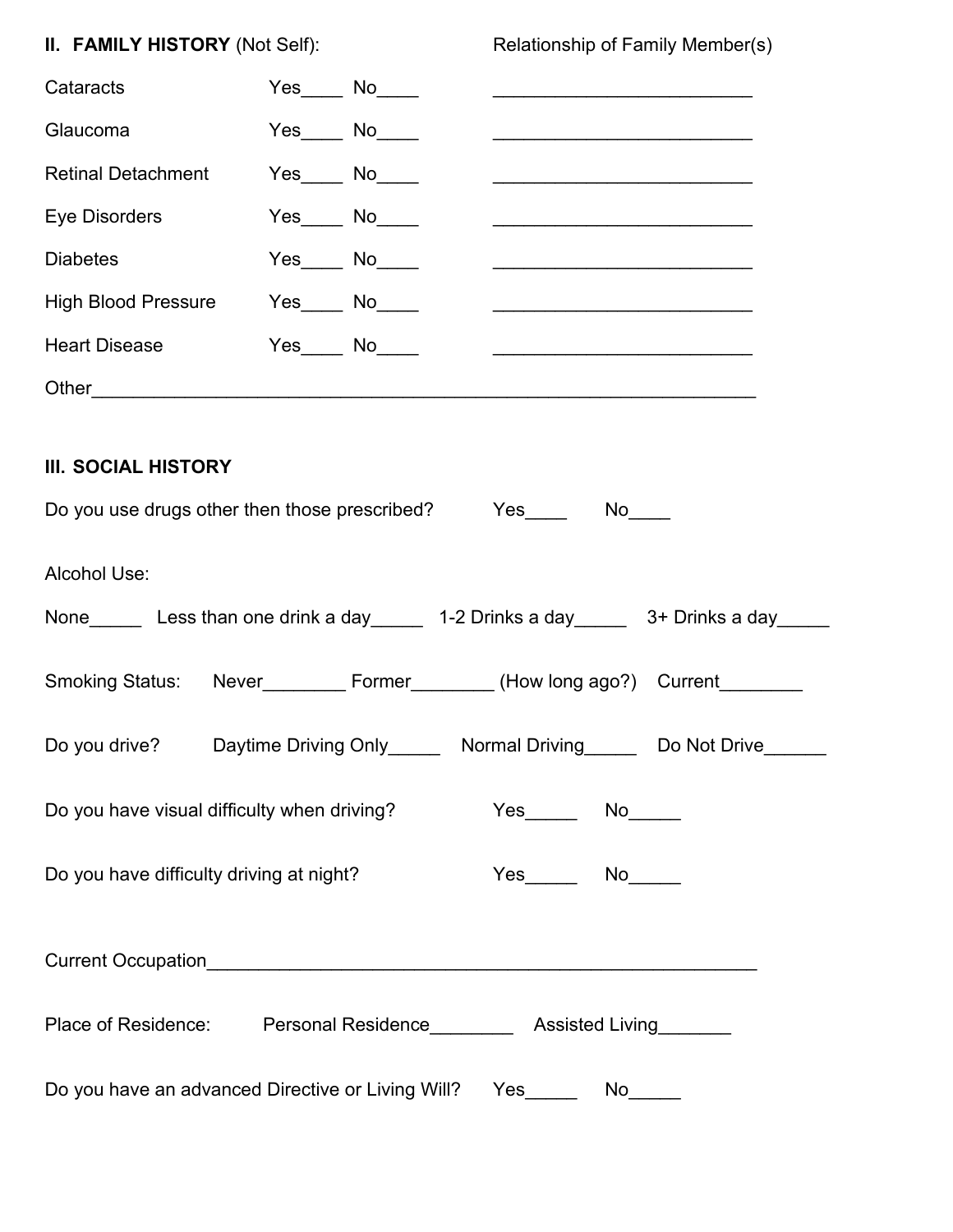| II. FAMILY HISTORY (Not Self):                                                                                  |                                                         |  | Relationship of Family Member(s)                                                      |                                                                                                                       |  |
|-----------------------------------------------------------------------------------------------------------------|---------------------------------------------------------|--|---------------------------------------------------------------------------------------|-----------------------------------------------------------------------------------------------------------------------|--|
| Cataracts                                                                                                       | $Yes$ No $N$                                            |  |                                                                                       | <u> 1989 - Johann John Stone, mars et al. (</u>                                                                       |  |
| Glaucoma                                                                                                        | $Yes$ No $N$                                            |  |                                                                                       |                                                                                                                       |  |
| <b>Retinal Detachment</b>                                                                                       | $Yes$ No $N$                                            |  |                                                                                       | the control of the control of the control of the control of the control of the control of                             |  |
| Eye Disorders                                                                                                   | $Yes$ No $\_\_$                                         |  |                                                                                       |                                                                                                                       |  |
| <b>Diabetes</b>                                                                                                 | $Yes$ No $N$                                            |  |                                                                                       |                                                                                                                       |  |
| High Blood Pressure                                                                                             | $Yes$ No $\_\_$                                         |  |                                                                                       | <u> 1989 - Johann John Stone, mars eta industrial eta industrial eta industrial eta industrial eta industrial eta</u> |  |
| <b>Heart Disease</b>                                                                                            | $Yes$ No $\rule{1em}{0.15mm}$ No $\rule{1.5mm}{0.15mm}$ |  |                                                                                       |                                                                                                                       |  |
|                                                                                                                 |                                                         |  |                                                                                       |                                                                                                                       |  |
| <b>III. SOCIAL HISTORY</b><br>Do you use drugs other then those prescribed? Yes________________________________ |                                                         |  |                                                                                       |                                                                                                                       |  |
| Alcohol Use:<br>None Less than one drink a day 1-2 Drinks a day 3+ Drinks a day                                 |                                                         |  |                                                                                       |                                                                                                                       |  |
| Smoking Status: Never___________ Former_________ (How long ago?) Current________                                |                                                         |  |                                                                                       |                                                                                                                       |  |
|                                                                                                                 |                                                         |  | Do you drive? Daytime Driving Only _______ Normal Driving _______ Do Not Drive ______ |                                                                                                                       |  |
| Do you have visual difficulty when driving?                                                                     |                                                         |  |                                                                                       |                                                                                                                       |  |
| Do you have difficulty driving at night?                                                                        |                                                         |  |                                                                                       |                                                                                                                       |  |
|                                                                                                                 |                                                         |  |                                                                                       |                                                                                                                       |  |
| Place of Residence: Personal Residence _________ Assisted Living _______                                        |                                                         |  |                                                                                       |                                                                                                                       |  |
| Do you have an advanced Directive or Living Will?  Yes_______  No______                                         |                                                         |  |                                                                                       |                                                                                                                       |  |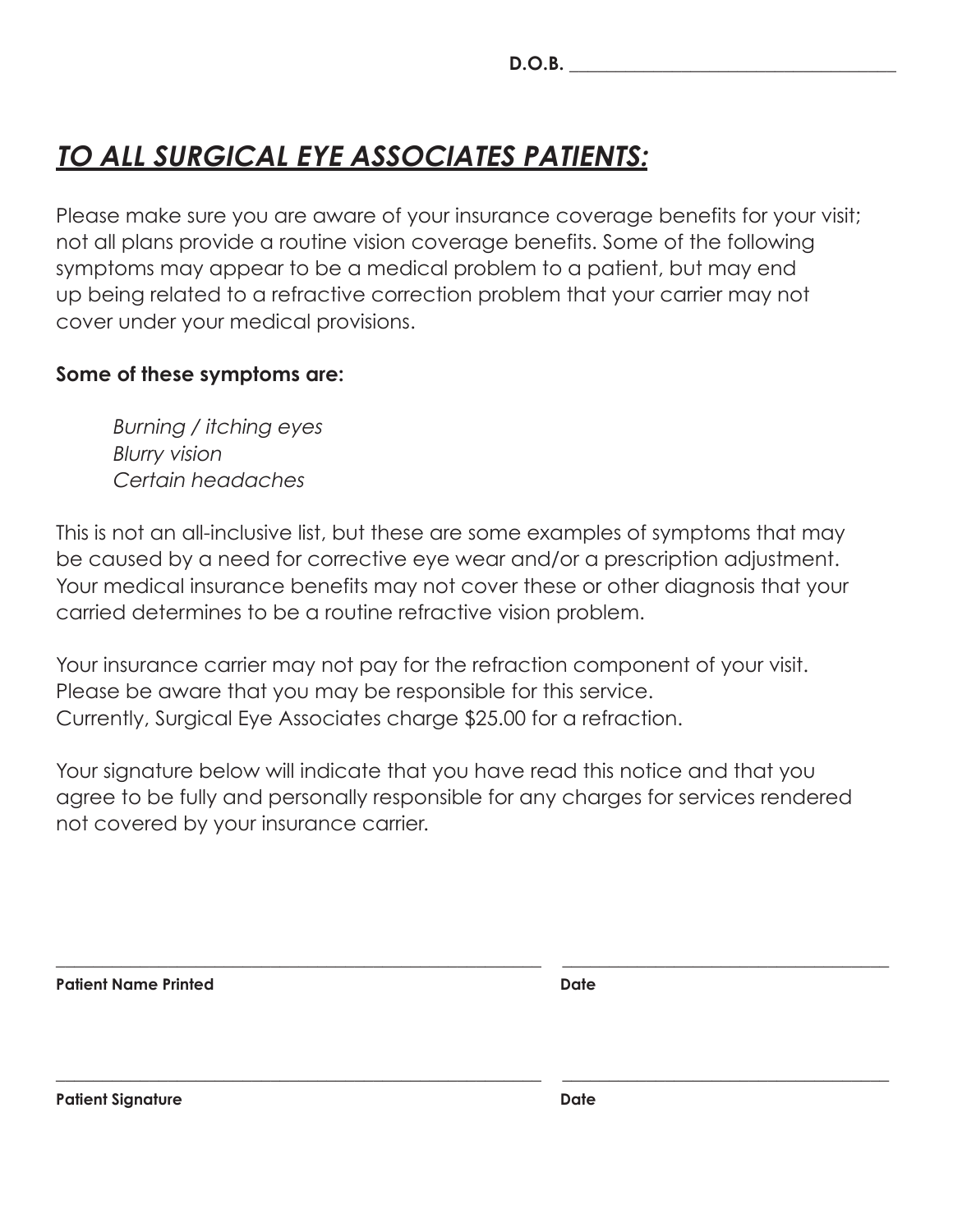# **TO ALL SURGICAL EYE ASSOCIATES PATIENTS:**

Please make sure you are aware of your insurance coverage benefits for your visit; not all plans provide a routine vision coverage benefits. Some of the following symptoms may appear to be a medical problem to a patient, but may end up being related to a refractive correction problem that your carrier may not cover under your medical provisions.

### **Some of these symptoms are:**

Burning / itching eyes Blurry vision Certain headaches

This is not an all-inclusive list, but these are some examples of symptoms that may be caused by a need for corrective eye wear and/or a prescription adjustment. Your medical insurance benefits may not cover these or other diagnosis that your carried determines to be a routine refractive vision problem.

Your insurance carrier may not pay for the refraction component of your visit. Please be aware that you may be responsible for this service. Currently, Surgical Eye Associates charge \$25.00 for a refraction.

Your signature below will indicate that you have read this notice and that you agree to be fully and personally responsible for any charges for services rendered not covered by your insurance carrier.

**\_\_\_\_\_\_\_\_\_\_\_\_\_\_\_\_\_\_\_\_\_\_\_\_\_\_\_\_\_\_\_\_\_\_\_\_\_\_\_\_\_\_\_\_\_\_\_\_\_\_\_\_ \_\_\_\_\_\_\_\_\_\_\_\_\_\_\_\_\_\_\_\_\_\_\_\_\_\_\_\_\_\_\_\_\_\_\_**

**\_\_\_\_\_\_\_\_\_\_\_\_\_\_\_\_\_\_\_\_\_\_\_\_\_\_\_\_\_\_\_\_\_\_\_\_\_\_\_\_\_\_\_\_\_\_\_\_\_\_\_\_ \_\_\_\_\_\_\_\_\_\_\_\_\_\_\_\_\_\_\_\_\_\_\_\_\_\_\_\_\_\_\_\_\_\_\_**

Patient Name Printed **Date 2018** 

Patient Signature **Date**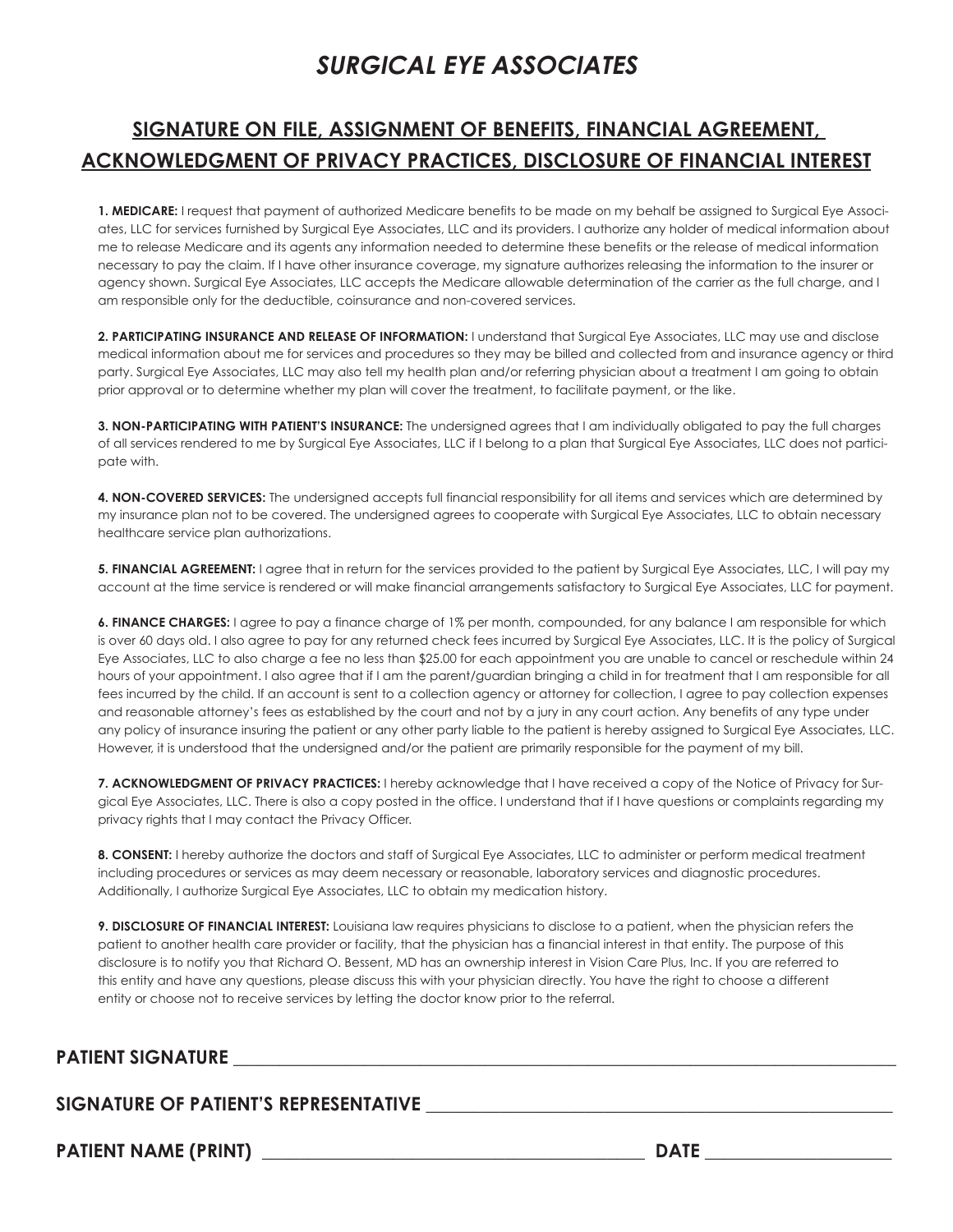# **SURGICAL EYE ASSOCIATES**

### **SIGNATURE ON FILE, ASSIGNMENT OF BENEFITS, FINANCIAL AGREEMENT, ACKNOWLEDGMENT OF PRIVACY PRACTICES, DISCLOSURE OF FINANCIAL INTEREST**

**1. MEDICARE:** I request that payment of authorized Medicare benefits to be made on my behalf be assigned to Surgical Eye Associates, LLC for services furnished by Surgical Eye Associates, LLC and its providers. I authorize any holder of medical information about me to release Medicare and its agents any information needed to determine these benefits or the release of medical information necessary to pay the claim. If I have other insurance coverage, my signature authorizes releasing the information to the insurer or agency shown. Surgical Eye Associates, LLC accepts the Medicare allowable determination of the carrier as the full charge, and I am responsible only for the deductible, coinsurance and non-covered services.

**2. PARTICIPATING INSURANCE AND RELEASE OF INFORMATION:** I understand that Surgical Eye Associates, LLC may use and disclose medical information about me for services and procedures so they may be billed and collected from and insurance agency or third party. Surgical Eye Associates, LLC may also tell my health plan and/or referring physician about a treatment I am going to obtain prior approval or to determine whether my plan will cover the treatment, to facilitate payment, or the like.

**3. NON-PARTICIPATING WITH PATIENT'S INSURANCE:** The undersigned agrees that I am individually obligated to pay the full charges of all services rendered to me by Surgical Eye Associates, LLC if I belong to a plan that Surgical Eye Associates, LLC does not participate with.

**4. NON-COVERED SERVICES:** The undersigned accepts full financial responsibility for all items and services which are determined by my insurance plan not to be covered. The undersigned agrees to cooperate with Surgical Eye Associates, LLC to obtain necessary healthcare service plan authorizations.

**5. FINANCIAL AGREEMENT:** I agree that in return for the services provided to the patient by Surgical Eye Associates, LLC, I will pay my account at the time service is rendered or will make financial arrangements satisfactory to Surgical Eye Associates, LLC for payment.

**6. FINANCE CHARGES:** I agree to pay a finance charge of 1% per month, compounded, for any balance I am responsible for which is over 60 days old. I also agree to pay for any returned check fees incurred by Surgical Eye Associates, LLC. It is the policy of Surgical Eye Associates, LLC to also charge a fee no less than \$25.00 for each appointment you are unable to cancel or reschedule within 24 hours of your appointment. I also agree that if I am the parent/guardian bringing a child in for treatment that I am responsible for all fees incurred by the child. If an account is sent to a collection agency or attorney for collection, I agree to pay collection expenses and reasonable attorney's fees as established by the court and not by a jury in any court action. Any benefits of any type under any policy of insurance insuring the patient or any other party liable to the patient is hereby assigned to Surgical Eye Associates, LLC. However, it is understood that the undersigned and/or the patient are primarily responsible for the payment of my bill.

**7. ACKNOWLEDGMENT OF PRIVACY PRACTICES:** I hereby acknowledge that I have received a copy of the Notice of Privacy for Surgical Eye Associates, LLC. There is also a copy posted in the office. I understand that if I have questions or complaints regarding my privacy rights that I may contact the Privacy Officer.

**8. CONSENT:** I hereby authorize the doctors and staff of Surgical Eye Associates, LLC to administer or perform medical treatment including procedures or services as may deem necessary or reasonable, laboratory services and diagnostic procedures. Additionally, I authorize Surgical Eye Associates, LLC to obtain my medication history.

**9. DISCLOSURE OF FINANCIAL INTEREST:** Louisiana law requires physicians to disclose to a patient, when the physician refers the patient to another health care provider or facility, that the physician has a financial interest in that entity. The purpose of this disclosure is to notify you that Richard O. Bessent, MD has an ownership interest in Vision Care Plus, Inc. If you are referred to this entity and have any questions, please discuss this with your physician directly. You have the right to choose a different entity or choose not to receive services by letting the doctor know prior to the referral.

#### PATIENT SIGNATURE **EXECUTES**

#### SIGNATURE OF PATIENT'S REPRESENTATIVE

**PATIENT NAME (PRINT) \_\_\_\_\_\_\_\_\_\_\_\_\_\_\_\_\_\_\_\_\_\_\_\_\_\_\_\_\_\_\_\_\_\_\_\_\_\_\_\_\_ DATE \_\_\_\_\_\_\_\_\_\_\_\_\_\_\_\_\_\_\_\_**